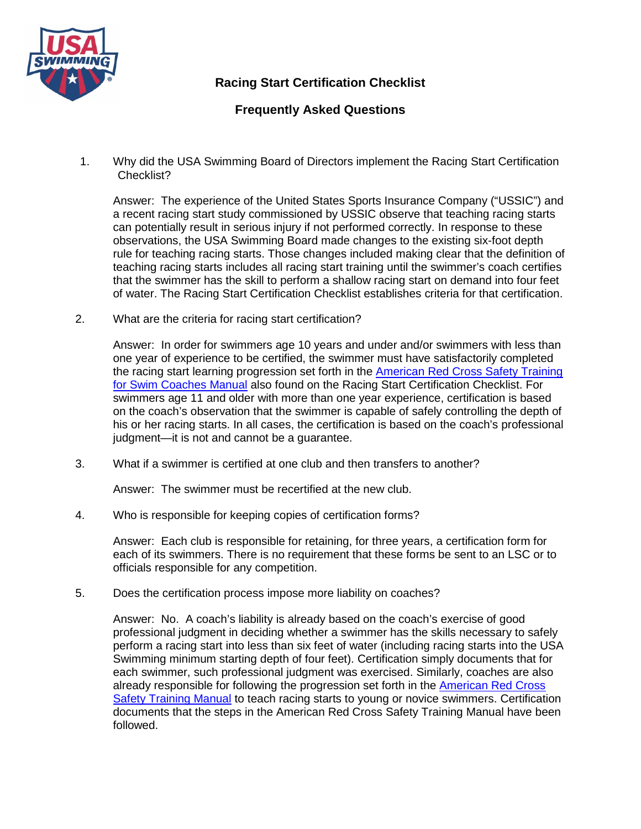

**Racing Start Certification Checklist**

## **Frequently Asked Questions**

1. Why did the USA Swimming Board of Directors implement the Racing Start Certification Checklist?

Answer: The experience of the United States Sports Insurance Company ("USSIC") and a recent racing start study commissioned by USSIC observe that teaching racing starts can potentially result in serious injury if not performed correctly. In response to these observations, the USA Swimming Board made changes to the existing six-foot depth rule for teaching racing starts. Those changes included making clear that the definition of teaching racing starts includes all racing start training until the swimmer's coach certifies that the swimmer has the skill to perform a shallow racing start on demand into four feet of water. The Racing Start Certification Checklist establishes criteria for that certification.

2. What are the criteria for racing start certification?

Answer: In order for swimmers age 10 years and under and/or swimmers with less than one year of experience to be certified, the swimmer must have satisfactorily completed the racing start learning progression set forth in the [American Red Cross Safety Training](https://www.instructorscorner.org/ViewLink.aspx?lnk=769)  [for Swim Coaches Manual](https://www.instructorscorner.org/ViewLink.aspx?lnk=769) also found on the Racing Start Certification Checklist. For swimmers age 11 and older with more than one year experience, certification is based on the coach's observation that the swimmer is capable of safely controlling the depth of his or her racing starts. In all cases, the certification is based on the coach's professional judgment—it is not and cannot be a guarantee.

3. What if a swimmer is certified at one club and then transfers to another?

Answer: The swimmer must be recertified at the new club.

4. Who is responsible for keeping copies of certification forms?

Answer: Each club is responsible for retaining, for three years, a certification form for each of its swimmers. There is no requirement that these forms be sent to an LSC or to officials responsible for any competition.

5. Does the certification process impose more liability on coaches?

Answer: No. A coach's liability is already based on the coach's exercise of good professional judgment in deciding whether a swimmer has the skills necessary to safely perform a racing start into less than six feet of water (including racing starts into the USA Swimming minimum starting depth of four feet). Certification simply documents that for each swimmer, such professional judgment was exercised. Similarly, coaches are also already responsible for following the progression set forth in the **American Red Cross** [Safety Training Manual](https://www.instructorscorner.org/ViewLink.aspx?lnk=769) to teach racing starts to young or novice swimmers. Certification documents that the steps in the American Red Cross Safety Training Manual have been followed.